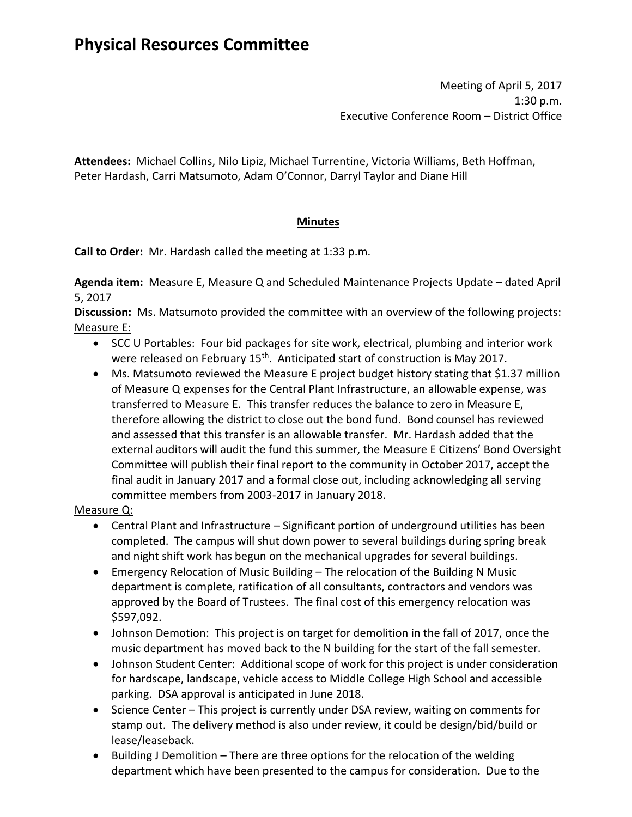# **Physical Resources Committee**

Meeting of April 5, 2017 1:30 p.m. Executive Conference Room – District Office

**Attendees:** Michael Collins, Nilo Lipiz, Michael Turrentine, Victoria Williams, Beth Hoffman, Peter Hardash, Carri Matsumoto, Adam O'Connor, Darryl Taylor and Diane Hill

# **Minutes**

**Call to Order:** Mr. Hardash called the meeting at 1:33 p.m.

**Agenda item:** Measure E, Measure Q and Scheduled Maintenance Projects Update – dated April 5, 2017

**Discussion:** Ms. Matsumoto provided the committee with an overview of the following projects: Measure E:

- SCC U Portables: Four bid packages for site work, electrical, plumbing and interior work were released on February 15<sup>th</sup>. Anticipated start of construction is May 2017.
- Ms. Matsumoto reviewed the Measure E project budget history stating that \$1.37 million of Measure Q expenses for the Central Plant Infrastructure, an allowable expense, was transferred to Measure E. This transfer reduces the balance to zero in Measure E, therefore allowing the district to close out the bond fund. Bond counsel has reviewed and assessed that this transfer is an allowable transfer. Mr. Hardash added that the external auditors will audit the fund this summer, the Measure E Citizens' Bond Oversight Committee will publish their final report to the community in October 2017, accept the final audit in January 2017 and a formal close out, including acknowledging all serving committee members from 2003-2017 in January 2018.

# Measure Q:

- Central Plant and Infrastructure Significant portion of underground utilities has been completed. The campus will shut down power to several buildings during spring break and night shift work has begun on the mechanical upgrades for several buildings.
- Emergency Relocation of Music Building The relocation of the Building N Music department is complete, ratification of all consultants, contractors and vendors was approved by the Board of Trustees. The final cost of this emergency relocation was \$597,092.
- Johnson Demotion: This project is on target for demolition in the fall of 2017, once the music department has moved back to the N building for the start of the fall semester.
- Johnson Student Center: Additional scope of work for this project is under consideration for hardscape, landscape, vehicle access to Middle College High School and accessible parking. DSA approval is anticipated in June 2018.
- Science Center This project is currently under DSA review, waiting on comments for stamp out. The delivery method is also under review, it could be design/bid/build or lease/leaseback.
- Building J Demolition There are three options for the relocation of the welding department which have been presented to the campus for consideration. Due to the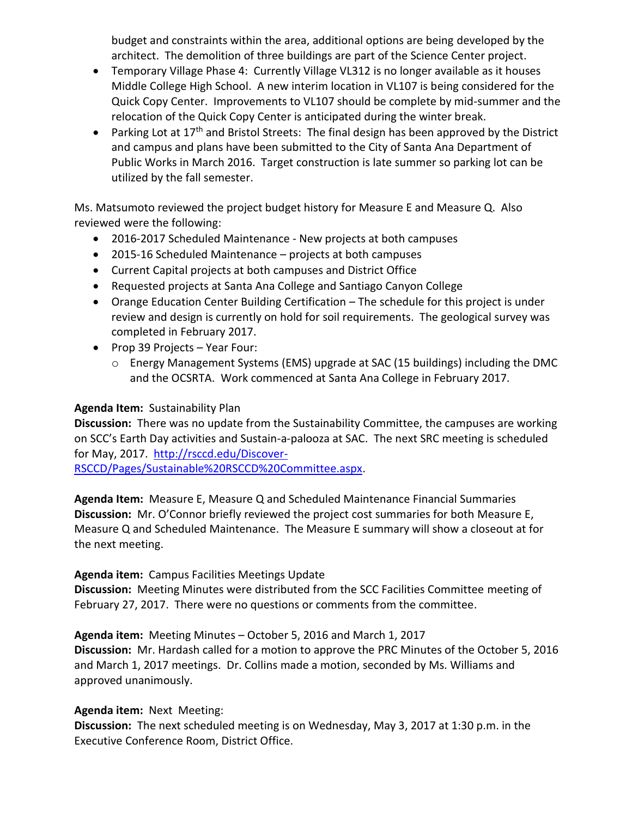budget and constraints within the area, additional options are being developed by the architect. The demolition of three buildings are part of the Science Center project.

- Temporary Village Phase 4: Currently Village VL312 is no longer available as it houses Middle College High School. A new interim location in VL107 is being considered for the Quick Copy Center. Improvements to VL107 should be complete by mid-summer and the relocation of the Quick Copy Center is anticipated during the winter break.
- Parking Lot at  $17<sup>th</sup>$  and Bristol Streets: The final design has been approved by the District and campus and plans have been submitted to the City of Santa Ana Department of Public Works in March 2016. Target construction is late summer so parking lot can be utilized by the fall semester.

Ms. Matsumoto reviewed the project budget history for Measure E and Measure Q. Also reviewed were the following:

- 2016-2017 Scheduled Maintenance New projects at both campuses
- 2015-16 Scheduled Maintenance projects at both campuses
- Current Capital projects at both campuses and District Office
- Requested projects at Santa Ana College and Santiago Canyon College
- Orange Education Center Building Certification The schedule for this project is under review and design is currently on hold for soil requirements. The geological survey was completed in February 2017.
- Prop 39 Projects Year Four:
	- o Energy Management Systems (EMS) upgrade at SAC (15 buildings) including the DMC and the OCSRTA. Work commenced at Santa Ana College in February 2017.

### **Agenda Item:** Sustainability Plan

**Discussion:** There was no update from the Sustainability Committee, the campuses are working on SCC's Earth Day activities and Sustain-a-palooza at SAC. The next SRC meeting is scheduled for May, 2017. [http://rsccd.edu/Discover-](http://rsccd.edu/Discover-RSCCD/Pages/Sustainable%20RSCCD%20Committee.aspx)

[RSCCD/Pages/Sustainable%20RSCCD%20Committee.aspx.](http://rsccd.edu/Discover-RSCCD/Pages/Sustainable%20RSCCD%20Committee.aspx)

**Agenda Item:** Measure E, Measure Q and Scheduled Maintenance Financial Summaries **Discussion:** Mr. O'Connor briefly reviewed the project cost summaries for both Measure E, Measure Q and Scheduled Maintenance. The Measure E summary will show a closeout at for the next meeting.

#### **Agenda item:** Campus Facilities Meetings Update

**Discussion:** Meeting Minutes were distributed from the SCC Facilities Committee meeting of February 27, 2017. There were no questions or comments from the committee.

**Agenda item:** Meeting Minutes – October 5, 2016 and March 1, 2017 **Discussion:** Mr. Hardash called for a motion to approve the PRC Minutes of the October 5, 2016 and March 1, 2017 meetings. Dr. Collins made a motion, seconded by Ms. Williams and approved unanimously.

# **Agenda item:** Next Meeting:

**Discussion:** The next scheduled meeting is on Wednesday, May 3, 2017 at 1:30 p.m. in the Executive Conference Room, District Office.